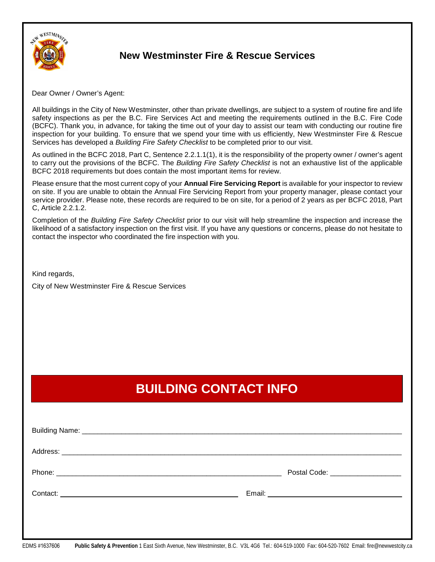

## **New Westminster Fire & Rescue Services**

Dear Owner / Owner's Agent:

All buildings in the City of New Westminster, other than private dwellings, are subject to a system of routine fire and life safety inspections as per the B.C. Fire Services Act and meeting the requirements outlined in the B.C. Fire Code (BCFC). Thank you, in advance, for taking the time out of your day to assist our team with conducting our routine fire inspection for your building. To ensure that we spend your time with us efficiently, New Westminster Fire & Rescue Services has developed a *Building Fire Safety Checklist* to be completed prior to our visit.

As outlined in the BCFC 2018, Part C, Sentence 2.2.1.1(1), it is the responsibility of the property owner / owner's agent to carry out the provisions of the BCFC. The *Building Fire Safety Checklist* is not an exhaustive list of the applicable BCFC 2018 requirements but does contain the most important items for review.

Please ensure that the most current copy of your **Annual Fire Servicing Report** is available for your inspector to review on site. If you are unable to obtain the Annual Fire Servicing Report from your property manager, please contact your service provider. Please note, these records are required to be on site, for a period of 2 years as per BCFC 2018, Part C, Article 2.2.1.2.

Completion of the *Building Fire Safety Checklist* prior to our visit will help streamline the inspection and increase the likelihood of a satisfactory inspection on the first visit. If you have any questions or concerns, please do not hesitate to contact the inspector who coordinated the fire inspection with you.

Kind regards,

City of New Westminster Fire & Rescue Services

## **BUILDING CONTACT INFO**

| Postal Code: ____________________ |
|-----------------------------------|
|                                   |
|                                   |
|                                   |